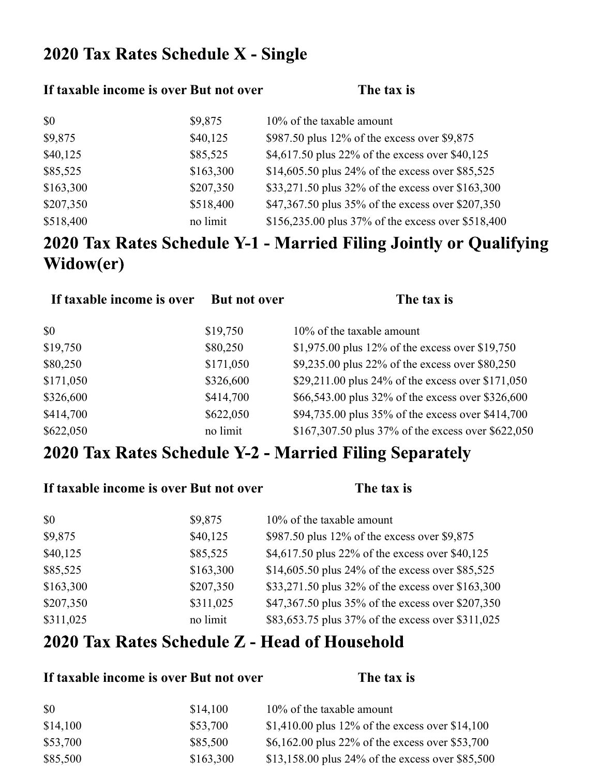## 2020 Tax Rates Schedule X - Single

#### **If taxable income is over But not over The tax is**

| \$0       | \$9,875   | 10% of the taxable amount                          |
|-----------|-----------|----------------------------------------------------|
| \$9,875   | \$40,125  | \$987.50 plus $12\%$ of the excess over \$9,875    |
| \$40,125  | \$85,525  | \$4,617.50 plus 22% of the excess over \$40,125    |
| \$85,525  | \$163,300 | \$14,605.50 plus 24% of the excess over \$85,525   |
| \$163,300 | \$207,350 | \$33,271.50 plus 32% of the excess over \$163,300  |
| \$207,350 | \$518,400 | \$47,367.50 plus 35% of the excess over \$207,350  |
| \$518,400 | no limit  | \$156,235.00 plus 37% of the excess over \$518,400 |

# 2020 Tax Rates Schedule Y-1 - Married Filing Jointly or Qualifying Widow(er)

| <b>But not over</b> | The tax is                                         |
|---------------------|----------------------------------------------------|
| \$19,750            | 10% of the taxable amount                          |
| \$80,250            | \$1,975.00 plus 12% of the excess over \$19,750    |
| \$171,050           | \$9,235.00 plus 22% of the excess over \$80,250    |
| \$326,600           | \$29,211.00 plus 24% of the excess over \$171,050  |
| \$414,700           | \$66,543.00 plus 32% of the excess over \$326,600  |
| \$622,050           | \$94,735.00 plus 35% of the excess over \$414,700  |
| no limit            | \$167,307.50 plus 37% of the excess over \$622,050 |
|                     |                                                    |

### 2020 Tax Rates Schedule Y-2 - Married Filing Separately

| If taxable income is over But not over |           | The tax is                                        |
|----------------------------------------|-----------|---------------------------------------------------|
| \$0                                    | \$9,875   | 10% of the taxable amount                         |
| \$9,875                                | \$40,125  | \$987.50 plus 12% of the excess over \$9,875      |
| \$40,125                               | \$85,525  | \$4,617.50 plus 22% of the excess over \$40,125   |
| \$85,525                               | \$163,300 | \$14,605.50 plus 24% of the excess over \$85,525  |
| \$163,300                              | \$207,350 | \$33,271.50 plus 32% of the excess over \$163,300 |
| \$207,350                              | \$311,025 | \$47,367.50 plus 35% of the excess over \$207,350 |
| \$311,025                              | no limit  | \$83,653.75 plus 37% of the excess over \$311,025 |

#### 2020 Tax Rates Schedule Z - Head of Household

#### **If taxable income is over But not over The tax is**

| \$0      | \$14,100  | $10\%$ of the taxable amount                     |
|----------|-----------|--------------------------------------------------|
| \$14,100 | \$53,700  | \$1,410.00 plus 12% of the excess over \$14,100  |
| \$53,700 | \$85,500  | \$6,162.00 plus 22% of the excess over \$53,700  |
| \$85,500 | \$163,300 | \$13,158.00 plus 24% of the excess over \$85,500 |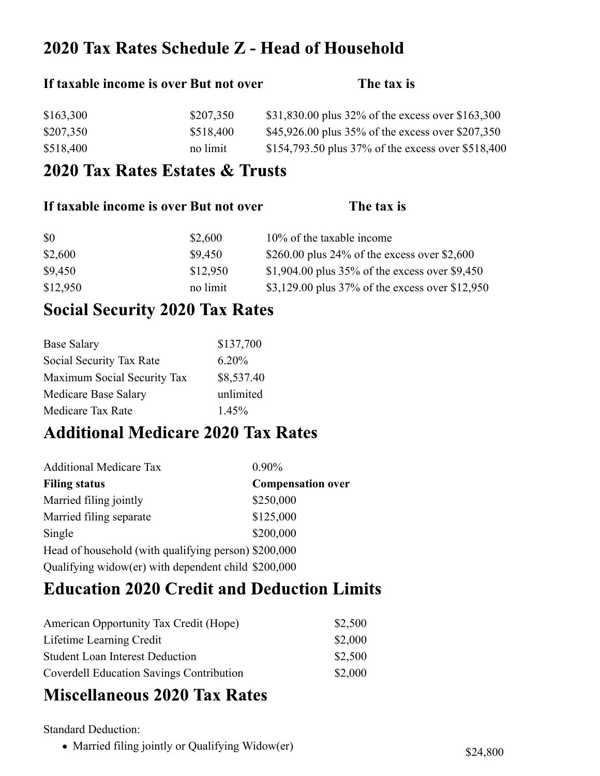### 2020 Tax Rates Schedule Z - Head of Household

# If taxable income is over But not over **The tax** is \$163,300 \$207,350 \$31,830.00 plus 32% of the excess over \$163,300 \$207,350 \$518,400 \$518,400 \$45,926.00 plus 35% of the excess over \$207,350 \$518,400 no limit \$154,793.50 plus 37% of the excess over \$518,400

#### 2020 Tax Rates Estates & Trusts

| If taxable income is over But not over |          | The tax is                                        |
|----------------------------------------|----------|---------------------------------------------------|
| <b>SO</b>                              | \$2,600  | 10% of the taxable income                         |
| \$2,600                                | \$9,450  | \$260.00 plus 24% of the excess over \$2,600      |
| \$9,450                                | \$12,950 | \$1,904.00 plus $35\%$ of the excess over \$9,450 |
| \$12,950                               | no limit | \$3,129.00 plus 37% of the excess over \$12,950   |

### **Social Security 2020 Tax Rates**

| <b>Base Salary</b>          | \$137,700  |
|-----------------------------|------------|
| Social Security Tax Rate    | 6.20%      |
| Maximum Social Security Tax | \$8,537.40 |
| Medicare Base Salary        | unlimited  |
| Medicare Tax Rate           | 1.45%      |

#### **Additional Medicare 2020 Tax Rates**

| <b>Additional Medicare Tax</b>                       | $0.90\%$                 |
|------------------------------------------------------|--------------------------|
| <b>Filing status</b>                                 | <b>Compensation over</b> |
| Married filing jointly                               | \$250,000                |
| Married filing separate                              | \$125,000                |
| Single                                               | \$200,000                |
| Head of household (with qualifying person) \$200,000 |                          |
| Qualifying widow(er) with dependent child \$200,000  |                          |

## **Education 2020 Credit and Deduction Limits**

| American Opportunity Tax Credit (Hope)          | \$2,500 |
|-------------------------------------------------|---------|
| Lifetime Learning Credit                        | \$2,000 |
| <b>Student Loan Interest Deduction</b>          | \$2,500 |
| <b>Coverdell Education Savings Contribution</b> | \$2,000 |

### **Miscellaneous 2020 Tax Rates**

Standard Deduction:

• Married filing jointly or Qualifying Widow(er) \$24,800